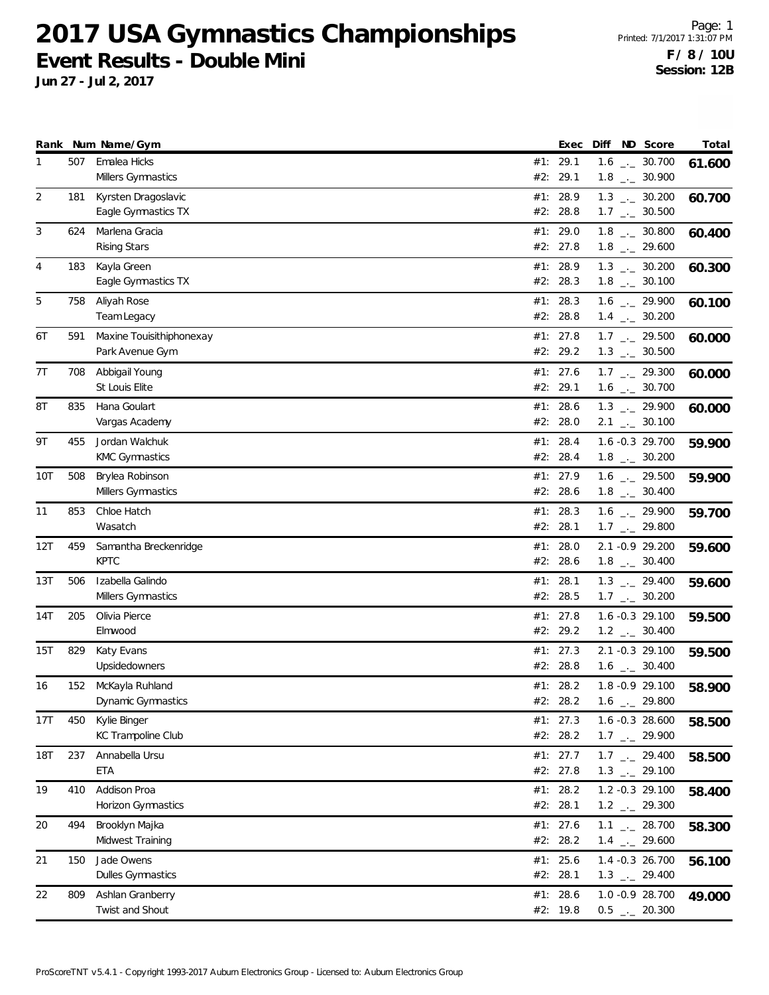**Jun 27 - Jul 2, 2017**

|            |     | Rank Num Name/Gym                           |     | Exec                 | Diff | ND Score                                                     | Total  |
|------------|-----|---------------------------------------------|-----|----------------------|------|--------------------------------------------------------------|--------|
| 1          | 507 | Emalea Hicks<br>Millers Gymnastics          |     | #1: 29.1<br>#2: 29.1 |      | $1.6$ _ $-30.700$<br>$1.8$ $_{-}$ 30.900                     | 61.600 |
| 2          | 181 | Kyrsten Dragoslavic<br>Eagle Gymnastics TX  |     | #1: 28.9<br>#2: 28.8 |      | $1.3$ $_{\leftarrow}$ 30.200<br>$1.7$ $_{\leftarrow}$ 30.500 | 60.700 |
| 3          | 624 | Marlena Gracia<br><b>Rising Stars</b>       |     | #1: 29.0<br>#2: 27.8 |      | $1.8$ _ $-30.800$<br>$1.8$ $_{\leftarrow}$ 29.600            | 60.400 |
| 4          | 183 | Kayla Green<br>Eagle Gymnastics TX          |     | #1: 28.9<br>#2: 28.3 |      | $1.3$ _ $-30.200$<br>$1.8$ $_{\leftarrow}$ 30.100            | 60.300 |
| 5          | 758 | Aliyah Rose<br>Team Legacy                  |     | #1: 28.3<br>#2: 28.8 |      | $1.6$ $_{-}$ 29.900<br>$1.4$ $_{-}$ 30.200                   | 60.100 |
| 6T         | 591 | Maxine Touisithiphonexay<br>Park Avenue Gym |     | #1: 27.8<br>#2: 29.2 |      | $1.7$ $_{\leftarrow}$ 29.500<br>$1.3$ _ $-30.500$            | 60.000 |
| 7T         | 708 | Abbigail Young<br>St Louis Elite            |     | #1: 27.6<br>#2: 29.1 |      | $1.7$ $_{-}$ 29.300<br>$1.6$ $_{\leftarrow}$ 30.700          | 60.000 |
| 8T         | 835 | Hana Goulart<br>Vargas Academy              |     | #1: 28.6<br>#2: 28.0 |      | $1.3$ $_{-}$ 29.900<br>$2.1$ $_{-1}$ 30.100                  | 60.000 |
| 9Τ         | 455 | Jordan Walchuk<br><b>KMC Gymnastics</b>     |     | #1: 28.4<br>#2: 28.4 |      | 1.6 -0.3 29.700<br>$1.8$ $_{-}$ 30.200                       | 59.900 |
| 10T        | 508 | Brylea Robinson<br>Millers Gymnastics       |     | #1: 27.9<br>#2: 28.6 |      | 1.6 $\frac{1}{2}$ 29.500<br>$1.8$ _._ 30.400                 | 59.900 |
| 11         | 853 | Chloe Hatch<br>Wasatch                      |     | #1: 28.3<br>#2: 28.1 |      | $1.6$ $_{\leftarrow}$ 29.900<br>$1.7$ $_{\leftarrow}$ 29.800 | 59.700 |
| 12T        | 459 | Samantha Breckenridge<br><b>KPTC</b>        | #1: | 28.0<br>#2: 28.6     |      | 2.1 -0.9 29.200<br>$1.8$ $_{\leftarrow}$ 30.400              | 59.600 |
| 13T        | 506 | Izabella Galindo<br>Millers Gymnastics      |     | #1: 28.1<br>#2: 28.5 |      | $1.3$ $_{\leftarrow}$ 29.400<br>$1.7$ $_{\leftarrow}$ 30.200 | 59.600 |
| 14T        | 205 | Olivia Pierce<br>Elmwood                    |     | #1: 27.8<br>#2: 29.2 |      | 1.6 -0.3 29.100<br>$1.2$ _ $-2$ 30.400                       | 59.500 |
| 15T        | 829 | Katy Evans<br>Upsidedowners                 |     | #1: 27.3<br>#2: 28.8 |      | 2.1 -0.3 29.100<br>$1.6$ $_{\leftarrow}$ 30.400              | 59.500 |
| 16         | 152 | McKayla Ruhland<br>Dynamic Gymnastics       |     | #1: 28.2<br>#2: 28.2 |      | $1.8 - 0.9$ 29.100<br>$1.6$ $_{\leftarrow}$ 29.800           | 58.900 |
| 17T        | 450 | Kylie Binger<br>KC Trampoline Club          |     | #1: 27.3<br>#2: 28.2 |      | 1.6 -0.3 28.600<br>$1.7$ $_{-1}$ 29.900                      | 58.500 |
| <b>18T</b> | 237 | Annabella Ursu<br>ETA                       |     | #1: 27.7<br>#2: 27.8 |      | $1.7$ $_{-}$ 29.400<br>$1.3$ $_{\leftarrow}$ 29.100          | 58.500 |
| 19         | 410 | Addison Proa<br>Horizon Gymnastics          |     | #1: 28.2<br>#2: 28.1 |      | 1.2 -0.3 29.100<br>$1.2$ $_{-}$ 29.300                       | 58.400 |
| 20         | 494 | Brooklyn Majka<br>Midwest Training          |     | #1: 27.6<br>#2: 28.2 |      | $1.1$ $-28.700$<br>$1.4$ $_{-1}$ 29.600                      | 58.300 |
| 21         | 150 | Jade Owens<br>Dulles Gymnastics             |     | #1: 25.6<br>#2: 28.1 |      | 1.4 -0.3 26.700<br>$1.3$ $_{-1}$ 29.400                      | 56.100 |
| 22         | 809 | Ashlan Granberry<br>Twist and Shout         |     | #1: 28.6<br>#2: 19.8 |      | 1.0 -0.9 28.700<br>$0.5$ $_{-}$ 20.300                       | 49.000 |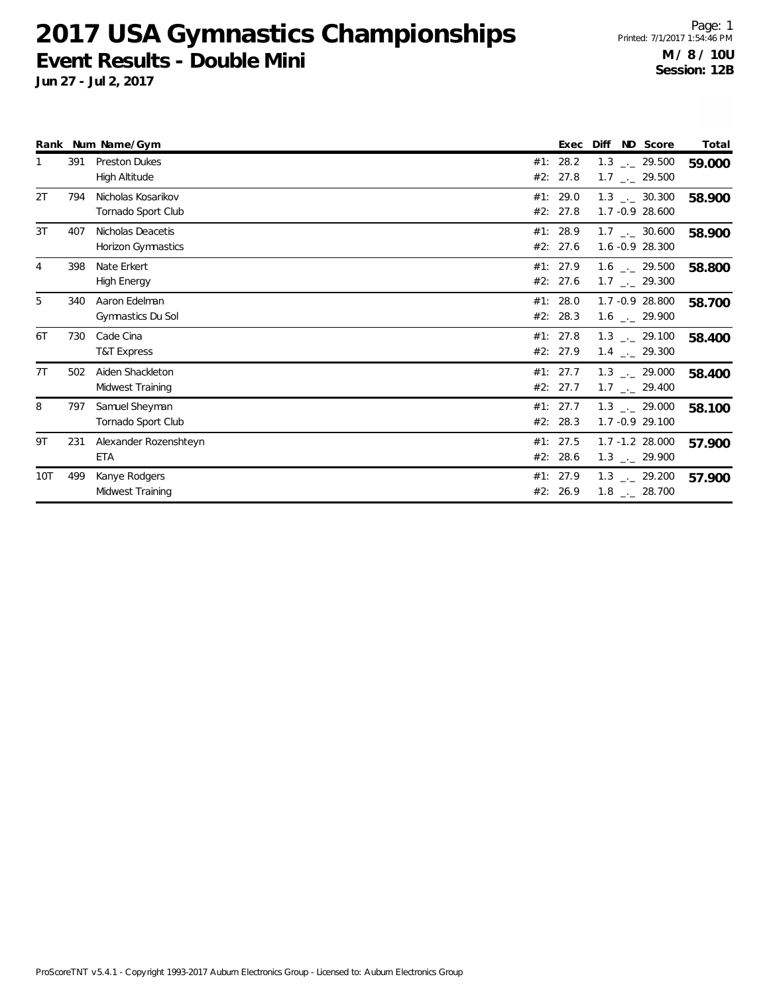**Jun 27 - Jul 2, 2017**

|     |     | Rank Num Name/Gym                            |     | Exec                 | Diff<br>ND Score                                             | Total  |
|-----|-----|----------------------------------------------|-----|----------------------|--------------------------------------------------------------|--------|
|     | 391 | <b>Preston Dukes</b><br><b>High Altitude</b> | #1: | 28.2<br>#2: 27.8     | $1.3$ $_{\leftarrow}$ 29.500<br>$1.7$ $_{\leftarrow}$ 29.500 | 59.000 |
| 2T  | 794 | Nicholas Kosarikov<br>Tornado Sport Club     |     | #1: 29.0<br>#2: 27.8 | $1.3$ _._ 30.300<br>1.7 -0.9 28.600                          | 58.900 |
| 3T  | 407 | Nicholas Deacetis<br>Horizon Gymnastics      |     | #1: 28.9<br>#2: 27.6 | $1.7$ $_{\leftarrow}$ 30.600<br>1.6 -0.9 28.300              | 58.900 |
| 4   | 398 | Nate Erkert<br><b>High Energy</b>            |     | #1: 27.9<br>#2: 27.6 | $1.6$ $_{\sim}$ 29.500<br>$1.7$ $_{\leftarrow}$ 29.300       | 58.800 |
| 5   | 340 | Aaron Edelman<br>Gymnastics Du Sol           |     | #1: 28.0<br>#2: 28.3 | 1.7 -0.9 28.800<br>$1.6$ $_{\leftarrow}$ 29.900              | 58.700 |
| 6T  | 730 | Cade Cina<br>T&T Express                     |     | #1: 27.8<br>#2: 27.9 | $1.3$ $_{\leftarrow}$ 29.100<br>$1.4$ $_{\leftarrow}$ 29.300 | 58.400 |
| 7T  | 502 | Aiden Shackleton<br>Midwest Training         |     | #1: 27.7<br>#2: 27.7 | $1.3$ $_{\leftarrow}$ 29.000<br>$1.7$ $_{\leftarrow}$ 29.400 | 58.400 |
| 8   | 797 | Samuel Sheyman<br>Tornado Sport Club         |     | #1: 27.7<br>#2: 28.3 | $1.3$ $_{\leftarrow}$ 29.000<br>1.7 - 0.9 29.100             | 58.100 |
| 9T  | 231 | Alexander Rozenshteyn<br>ETA                 |     | #1: 27.5<br>#2: 28.6 | $1.7 - 1.2$ 28.000<br>$1.3$ $_{\leftarrow}$ 29.900           | 57.900 |
| 10T | 499 | Kanye Rodgers<br>Midwest Training            |     | #1: 27.9<br>#2: 26.9 | $1.3$ $_{\leftarrow}$ 29.200<br>$1.8$ $_{\leftarrow}$ 28.700 | 57.900 |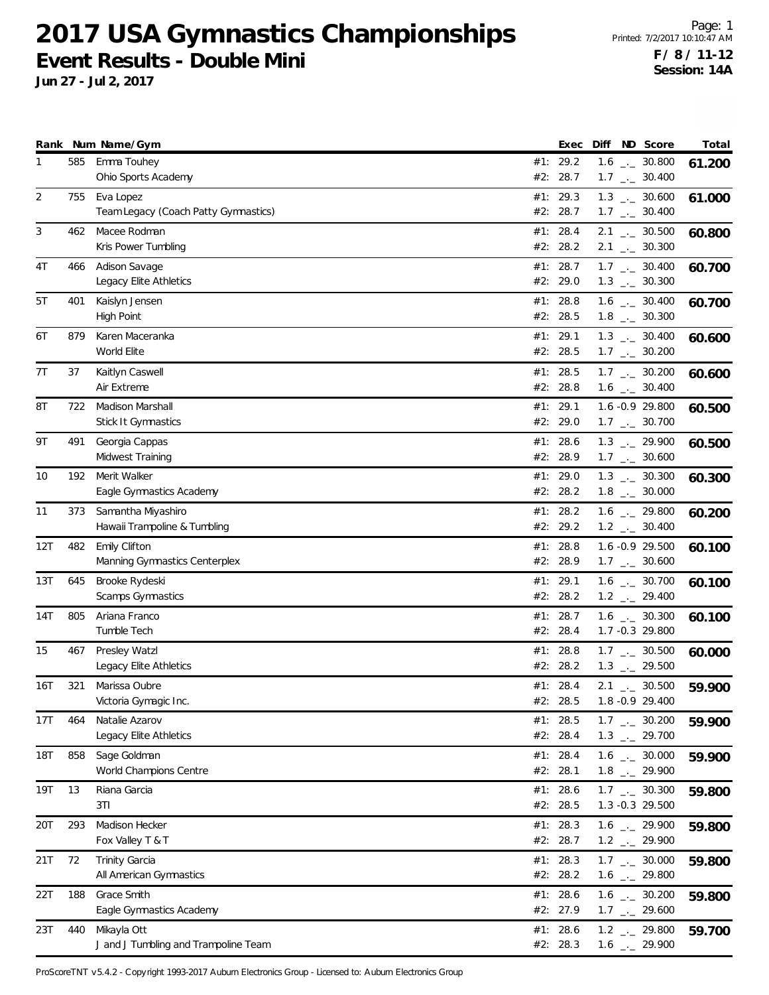**Jun 27 - Jul 2, 2017**

|     |     | Rank Num Name/Gym                                   |     | Exec                   | Diff | ND Score                                                     | Total  |
|-----|-----|-----------------------------------------------------|-----|------------------------|------|--------------------------------------------------------------|--------|
| 1   | 585 | Emma Touhey<br>Ohio Sports Academy                  | #2: | #1: 29.2<br>28.7       |      | $1.6$ $_{\leftarrow}$ 30.800<br>$1.7$ $_{\leftarrow}$ 30.400 | 61.200 |
| 2   | 755 | Eva Lopez<br>Team Legacy (Coach Patty Gymnastics)   |     | #1: 29.3<br>#2: 28.7   |      | $1.3$ $_{\leftarrow}$ 30.600<br>$1.7$ $_{\leftarrow}$ 30.400 | 61.000 |
| 3   | 462 | Macee Rodman<br>Kris Power Tumbling                 |     | #1: 28.4<br>#2: 28.2   |      | $2.1$ $_{-}$ 30.500<br>$2.1$ $_{\leftarrow}$ 30.300          | 60.800 |
| 4T  | 466 | Adison Savage<br>Legacy Elite Athletics             |     | #1: 28.7<br>#2: 29.0   |      | $1.7$ $_{\leftarrow}$ 30.400<br>$1.3$ $_{\leftarrow}$ 30.300 | 60.700 |
| 5T  | 401 | Kaislyn Jensen<br>High Point                        |     | #1: 28.8<br>#2: 28.5   |      | $1.6$ _ $-30.400$<br>$1.8$ $_{\leftarrow}$ 30.300            | 60.700 |
| 6T  | 879 | Karen Maceranka<br>World Elite                      |     | #1: 29.1<br>#2: 28.5   |      | $1.3$ $_{\leftarrow}$ 30.400<br>$1.7$ $_{\leftarrow}$ 30.200 | 60.600 |
| 7T  | 37  | Kaitlyn Caswell<br>Air Extreme                      |     | #1: 28.5<br>#2: 28.8   |      | $1.7$ $_{\leftarrow}$ 30.200<br>$1.6$ $_{\leftarrow}$ 30.400 | 60.600 |
| 8T  | 722 | Madison Marshall<br><b>Stick It Gymnastics</b>      |     | #1: 29.1<br>#2: 29.0   |      | 1.6 -0.9 29.800<br>$1.7$ $_{\leftarrow}$ 30.700              | 60.500 |
| 9Τ  | 491 | Georgia Cappas<br>Midwest Training                  |     | #1: 28.6<br>#2: 28.9   |      | $1.3$ $_{-2}$ 29.900<br>$1.7$ $_{\leftarrow}$ 30.600         | 60.500 |
| 10  | 192 | Merit Walker<br>Eagle Gymnastics Academy            |     | #1: 29.0<br>#2: 28.2   |      | $1.3$ $_{\leftarrow}$ 30.300<br>$1.8$ $_{\leftarrow}$ 30.000 | 60.300 |
| 11  | 373 | Samantha Miyashiro<br>Hawaii Trampoline & Tumbling  |     | #1: 28.2<br>#2: 29.2   |      | $1.6$ $_{\leftarrow}$ 29.800<br>$1.2$ $_{\leftarrow}$ 30.400 | 60.200 |
| 12T | 482 | Emily Clifton<br>Manning Gymnastics Centerplex      | #1: | 28.8<br>#2: 28.9       |      | 1.6 -0.9 29.500<br>$1.7$ $_{\leftarrow}$ 30.600              | 60.100 |
| 13T | 645 | Brooke Rydeski<br>Scamps Gymnastics                 |     | #1: 29.1<br>#2: 28.2   |      | $1.6$ _._ 30.700<br>$1.2$ $_{\leftarrow}$ 29.400             | 60.100 |
| 14T | 805 | Ariana Franco<br>Tumble Tech                        |     | #1: 28.7<br>#2: 28.4   |      | $1.6$ $_{\leftarrow}$ 30.300<br>1.7 -0.3 29.800              | 60.100 |
| 15  | 467 | Presley Watzl<br>Legacy Elite Athletics             | #1: | 28.8<br>#2: 28.2       |      | $1.7$ $_{\leftarrow}$ 30.500<br>$1.3$ $_{\leftarrow}$ 29.500 | 60.000 |
| 16T | 321 | Marissa Oubre<br>Victoria Gymagic Inc.              |     | #1: 28.4<br>#2: 28.5   |      | $2.1$ $_{-}$ 30.500<br>1.8 - 0.9 29.400                      | 59.900 |
| 17T | 464 | Natalie Azarov<br>Legacy Elite Athletics            |     | #1: 28.5<br>#2: 28.4   |      | $1.7$ $_{\leftarrow}$ 30.200<br>$1.3$ $_{-}$ 29.700          | 59.900 |
| 18T | 858 | Sage Goldman<br>World Champions Centre              |     | #1: 28.4<br>#2: 28.1   |      | $1.6$ $_{\leftarrow}$ 30.000<br>$1.8$ $_{\leftarrow}$ 29.900 | 59.900 |
| 19T | 13  | Riana Garcia<br>3TI                                 |     | #1: 28.6<br>#2: 28.5   |      | $1.7$ $_{\leftarrow}$ 30.300<br>1.3 -0.3 29.500              | 59.800 |
| 20T | 293 | Madison Hecker<br>Fox Valley T & T                  |     | #1: 28.3<br>#2: 28.7   |      | $1.6$ - 29.900<br>$1.2$ $_{\leftarrow}$ 29.900               | 59.800 |
| 21T | 72  | <b>Trinity Garcia</b><br>All American Gymnastics    |     | #1: 28.3<br>#2: 28.2   |      | $1.7$ $_{\leftarrow}$ 30.000<br>$1.6$ $_{\leftarrow}$ 29.800 | 59.800 |
| 22T | 188 | Grace Smith<br>Eagle Gymnastics Academy             |     | #1: $28.6$<br>#2: 27.9 |      | $1.6$ $_{\leftarrow}$ 30.200<br>$1.7$ $_{\leftarrow}$ 29.600 | 59.800 |
| 23T | 440 | Mikayla Ott<br>J and J Tumbling and Trampoline Team |     | #1: 28.6<br>#2: 28.3   |      | $1.2$ $_{-}$ 29.800<br>$1.6$ $_{-}$ 29.900                   | 59.700 |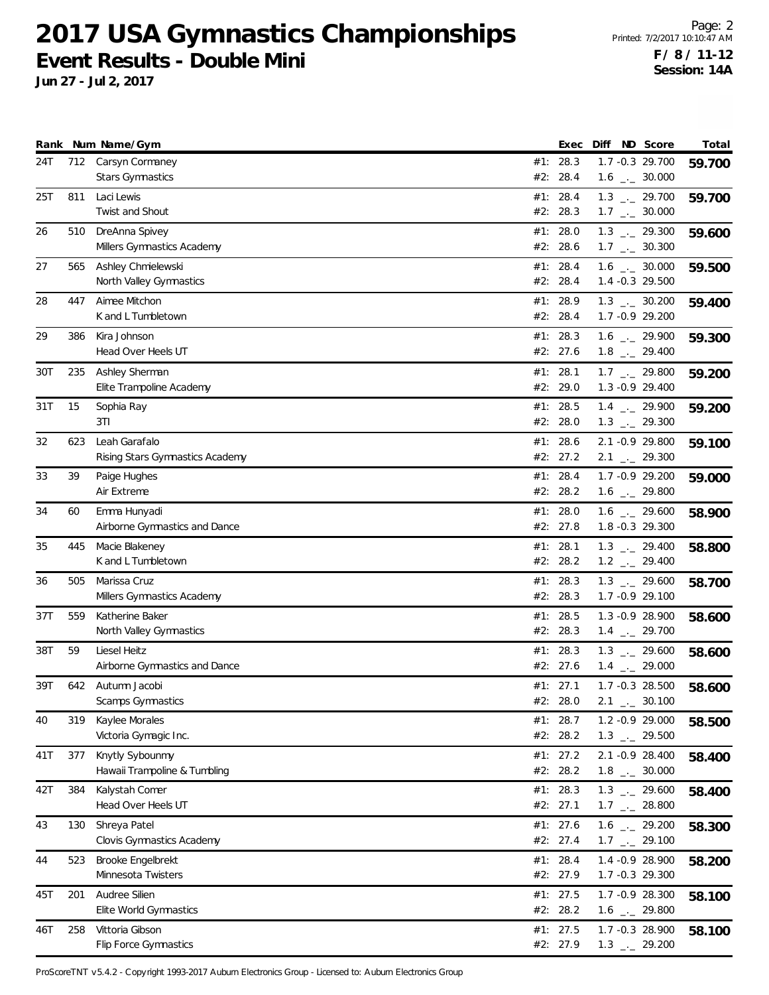**Jun 27 - Jul 2, 2017**

|     |     | Rank Num Name/Gym                               |     | Exec                 | Diff ND Score                                                | Total  |
|-----|-----|-------------------------------------------------|-----|----------------------|--------------------------------------------------------------|--------|
| 24T | 712 | Carsyn Cormaney<br><b>Stars Gymnastics</b>      |     | #1: 28.3<br>#2: 28.4 | 1.7 -0.3 29.700<br>$1.6$ $_{\leftarrow}$ 30.000              | 59.700 |
| 25T | 811 | Laci Lewis                                      |     | #1: 28.4             | $1.3$ $_{\leftarrow}$ 29.700                                 | 59.700 |
|     |     | Twist and Shout                                 |     | #2: 28.3             | $1.7$ $_{\leftarrow}$ 30.000                                 |        |
| 26  | 510 | DreAnna Spivey                                  |     | #1: 28.0             | $1.3$ $_{-}$ 29.300                                          | 59.600 |
|     |     | Millers Gymnastics Academy                      |     | #2: 28.6             | $1.7$ $_{\leftarrow}$ 30.300                                 |        |
| 27  | 565 | Ashley Chmielewski                              |     | #1: 28.4             | $1.6$ $_{\leftarrow}$ 30.000                                 | 59.500 |
|     |     | North Valley Gymnastics                         |     | #2: 28.4             | 1.4 -0.3 29.500                                              |        |
| 28  | 447 | Aimee Mitchon                                   |     | #1: 28.9             | $1.3$ _ $-30.200$                                            | 59.400 |
|     |     | K and L Tumbletown                              |     | #2: 28.4             | 1.7 -0.9 29.200                                              |        |
| 29  | 386 | Kira Johnson                                    |     | #1: 28.3             | $1.6$ $_{\leftarrow}$ 29.900                                 | 59.300 |
|     |     | Head Over Heels UT                              |     | #2: 27.6             | $1.8$ $_{\leftarrow}$ 29.400                                 |        |
| 30T | 235 | Ashley Sherman                                  |     | #1: 28.1             | $1.7$ $_{--}$ 29.800                                         | 59.200 |
|     |     | Elite Trampoline Academy                        |     | #2: 29.0             | 1.3 - 0.9 29.400                                             |        |
| 31T | 15  | Sophia Ray                                      |     | #1: 28.5             | $1.4$ $_{-1}$ 29.900                                         | 59.200 |
|     |     | 3TI                                             |     | #2: 28.0             | $1.3$ $_{\leftarrow}$ 29.300                                 |        |
| 32  | 623 | Leah Garafalo                                   |     | #1: 28.6             | 2.1 -0.9 29.800                                              | 59.100 |
|     |     | Rising Stars Gymnastics Academy                 |     | #2: 27.2             | $2.1$ $_{-}$ 29.300                                          |        |
| 33  | 39  | Paige Hughes                                    |     | #1: 28.4             | 1.7 - 0.9 29.200                                             | 59.000 |
|     |     | Air Extreme                                     |     | #2: 28.2             | $1.6$ $_{\leftarrow}$ 29.800                                 |        |
| 34  | 60  | Emma Hunyadi                                    |     | #1: 28.0             | $1.6$ $_{\leftarrow}$ 29.600                                 | 58.900 |
|     |     | Airborne Gymnastics and Dance                   |     | #2: 27.8             | 1.8 -0.3 29.300                                              |        |
| 35  | 445 | Macie Blakeney                                  | #1: | 28.1                 | $1.3$ $_{-2}$ 29.400                                         | 58.800 |
|     |     | K and L Tumbletown                              |     | #2: 28.2             | $1.2$ $_{\leftarrow}$ 29.400                                 |        |
| 36  | 505 | Marissa Cruz                                    |     | #1: 28.3             | $1.3$ $_{\leftarrow}$ 29.600                                 | 58.700 |
|     |     | Millers Gymnastics Academy                      |     | #2: 28.3             | 1.7 - 0.9 29.100                                             |        |
| 37T | 559 | Katherine Baker                                 |     | #1: 28.5             | $1.3 -0.9$ 28.900                                            | 58.600 |
|     |     | North Valley Gymnastics                         |     | #2: 28.3             | $1.4$ $_{-}$ 29.700                                          |        |
| 38T | 59  | Liesel Heitz                                    |     | #1: 28.3             | $1.3$ $_{\leftarrow}$ 29.600                                 | 58.600 |
|     |     | Airborne Gymnastics and Dance                   |     | #2: 27.6             | $1.4$ $_{\leftarrow}$ 29.000                                 |        |
| 39T | 642 | Autumn Jacobi                                   |     | #1: 27.1             | $1.7 - 0.3$ 28.500                                           | 58.600 |
|     |     | Scamps Gymnastics                               |     | #2: 28.0             | $2.1$ _._ 30.100                                             |        |
| 40  | 319 | Kaylee Morales                                  |     | #1: 28.7<br>#2: 28.2 | 1.2 -0.9 29.000                                              | 58.500 |
|     |     | Victoria Gymagic Inc.                           |     |                      | $1.3$ $_{\leftarrow}$ 29.500                                 |        |
| 41T | 377 | Knytly Sybounmy<br>Hawaii Trampoline & Tumbling |     | #1: 27.2<br>#2: 28.2 | 2.1 -0.9 28.400<br>$1.8$ $_{\leftarrow}$ 30.000              | 58.400 |
|     |     |                                                 |     |                      |                                                              |        |
| 42T | 384 | Kalystah Comer<br>Head Over Heels UT            |     | #1: 28.3<br>#2: 27.1 | $1.3$ $_{\leftarrow}$ 29.600<br>$1.7$ $_{\leftarrow}$ 28.800 | 58.400 |
|     |     |                                                 |     |                      |                                                              |        |
| 43  | 130 | Shreya Patel<br>Clovis Gymnastics Academy       |     | #1: 27.6<br>#2: 27.4 | $1.6$ - 29.200<br>$1.7$ $_{\leftarrow}$ 29.100               | 58.300 |
|     |     |                                                 |     |                      |                                                              |        |
| 44  | 523 | Brooke Engelbrekt<br>Minnesota Twisters         |     | #1: 28.4<br>#2: 27.9 | 1.4 - 0.9 28.900<br>1.7 -0.3 29.300                          | 58.200 |
|     |     |                                                 |     |                      |                                                              |        |
| 45T | 201 | Audree Silien<br>Elite World Gymnastics         |     | #1: 27.5<br>#2: 28.2 | 1.7 - 0.9 28.300<br>$1.6$ $_{-}$ 29.800                      | 58.100 |
|     |     |                                                 |     |                      |                                                              |        |
| 46T | 258 | Vittoria Gibson<br>Flip Force Gymnastics        |     | #1: 27.5<br>#2: 27.9 | 1.7 -0.3 28.900<br>$1.3$ $_{-1}$ 29.200                      | 58.100 |
|     |     |                                                 |     |                      |                                                              |        |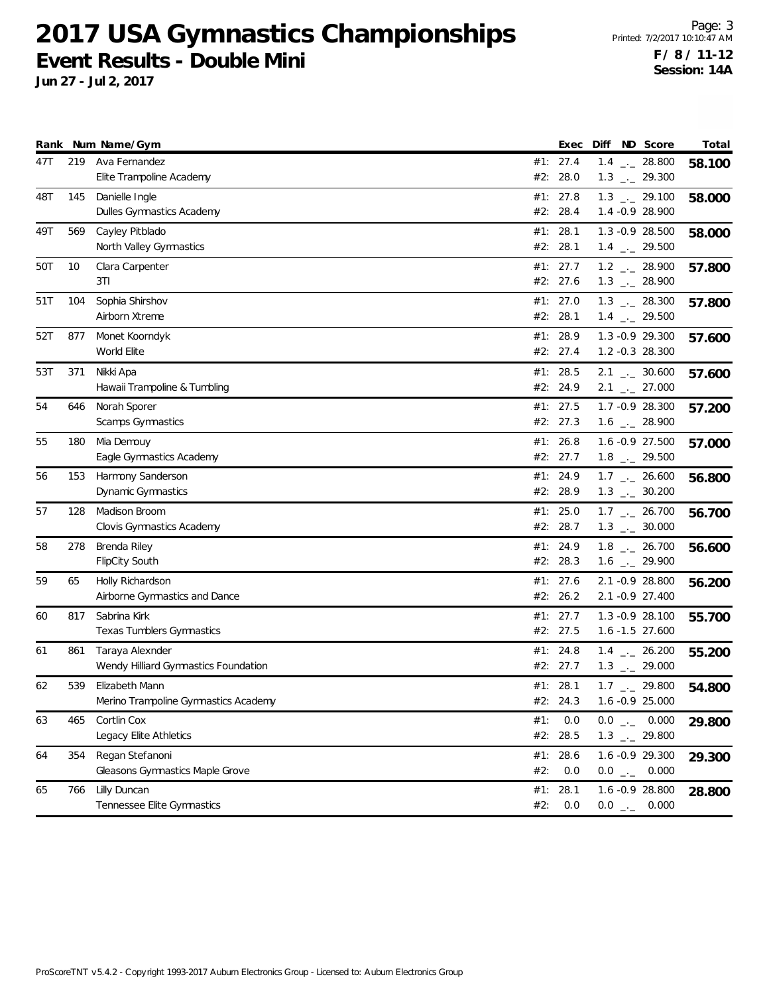**Jun 27 - Jul 2, 2017**

Page: 3 Printed: 7/2/2017 10:10:47 AM **F / 8 / 11-12 Session: 14A**

|     |     | Rank Num Name/Gym                                       |            | Exec                   | Diff | ND Score                                                     | Total  |
|-----|-----|---------------------------------------------------------|------------|------------------------|------|--------------------------------------------------------------|--------|
| 47T | 219 | Ava Fernandez<br>Elite Trampoline Academy               |            | #1: 27.4<br>#2: 28.0   |      | $1.4$ $_{-}$ 28.800<br>$1.3$ $_{\leftarrow}$ 29.300          | 58.100 |
| 48T | 145 | Danielle Ingle<br>Dulles Gymnastics Academy             |            | #1: 27.8<br>#2: 28.4   |      | $1.3$ $_{-1}$ 29.100<br>1.4 - 0.9 28.900                     | 58.000 |
| 49T | 569 | Cayley Pitblado<br>North Valley Gymnastics              |            | #1: 28.1<br>#2: 28.1   |      | $1.3 -0.9$ 28.500<br>$1.4$ $_{\leftarrow}$ 29.500            | 58.000 |
| 50T | 10  | Clara Carpenter<br>3T1                                  |            | #1: 27.7<br>#2: 27.6   |      | $1.2$ _ 28.900<br>$1.3$ _ 28.900                             | 57.800 |
| 51T | 104 | Sophia Shirshov<br>Airborn Xtreme                       |            | #1: $27.0$<br>#2: 28.1 |      | $1.3$ _ 28.300<br>$1.4$ $_{-}$ 29.500                        | 57.800 |
| 52T | 877 | Monet Koorndyk<br>World Elite                           |            | #1: 28.9<br>#2: 27.4   |      | 1.3 -0.9 29.300<br>1.2 -0.3 28.300                           | 57.600 |
| 53T | 371 | Nikki Apa<br>Hawaii Trampoline & Tumbling               |            | #1: 28.5<br>#2: 24.9   |      | $2.1$ $_{-}$ 30.600<br>$2.1$ $_{\leftarrow}$ 27.000          | 57.600 |
| 54  | 646 | Norah Sporer<br>Scamps Gymnastics                       |            | #1: 27.5<br>#2: 27.3   |      | 1.7 -0.9 28.300<br>$1.6$ $_{\leftarrow}$ 28.900              | 57.200 |
| 55  | 180 | Mia Demouy<br>Eagle Gymnastics Academy                  |            | #1: 26.8<br>#2: 27.7   |      | 1.6 -0.9 27.500<br>$1.8$ $_{-}$ 29.500                       | 57.000 |
| 56  | 153 | Harmony Sanderson<br>Dynamic Gymnastics                 |            | #1: 24.9<br>#2: 28.9   |      | $1.7$ $_{\leftarrow}$ 26.600<br>$1.3$ $_{\leftarrow}$ 30.200 | 56.800 |
| 57  | 128 | Madison Broom<br>Clovis Gymnastics Academy              |            | #1: 25.0<br>#2: 28.7   |      | $1.7$ $_{\leftarrow}$ 26.700<br>$1.3$ $_{\leftarrow}$ 30.000 | 56.700 |
| 58  | 278 | Brenda Riley<br><b>FlipCity South</b>                   |            | #1: 24.9<br>#2: 28.3   |      | $1.8$ $_{-}$ 26.700<br>$1.6$ $_{\leftarrow}$ 29.900          | 56.600 |
| 59  | 65  | Holly Richardson<br>Airborne Gymnastics and Dance       |            | #1: $27.6$<br>#2: 26.2 |      | 2.1 -0.9 28.800<br>2.1 -0.9 27.400                           | 56.200 |
| 60  | 817 | Sabrina Kirk<br>Texas Tumblers Gymnastics               |            | #1: 27.7<br>#2: 27.5   |      | $1.3 -0.9$ 28.100<br>1.6 -1.5 27.600                         | 55.700 |
| 61  | 861 | Taraya Alexnder<br>Wendy Hilliard Gymnastics Foundation | #1:        | 24.8<br>#2: 27.7       |      | $1.4$ $_{-}$ 26.200<br>$1.3$ $_{\leftarrow}$ 29.000          | 55.200 |
| 62  | 539 | Elizabeth Mann<br>Merino Trampoline Gymnastics Academy  |            | #1: 28.1<br>#2: 24.3   |      | $1.7$ $_{-1}$ 29.800<br>$1.6 - 0.9$ 25.000                   | 54.800 |
| 63  | 465 | Cortlin Cox<br>Legacy Elite Athletics                   | #1:        | 0.0<br>#2: 28.5        |      | $0.0$ _ 0.000<br>$1.3$ $_{-}$ 29.800                         | 29.800 |
| 64  | 354 | Regan Stefanoni<br>Gleasons Gymnastics Maple Grove      | #2:        | #1: 28.6<br>0.0        |      | 1.6 -0.9 29.300<br>$0.0$ _ 0.000                             | 29.300 |
| 65  | 766 | Lilly Duncan<br>Tennessee Elite Gymnastics              | #1:<br>#2: | 28.1<br>0.0            |      | 1.6 -0.9 28.800<br>$0.0$ _ 0.000                             | 28.800 |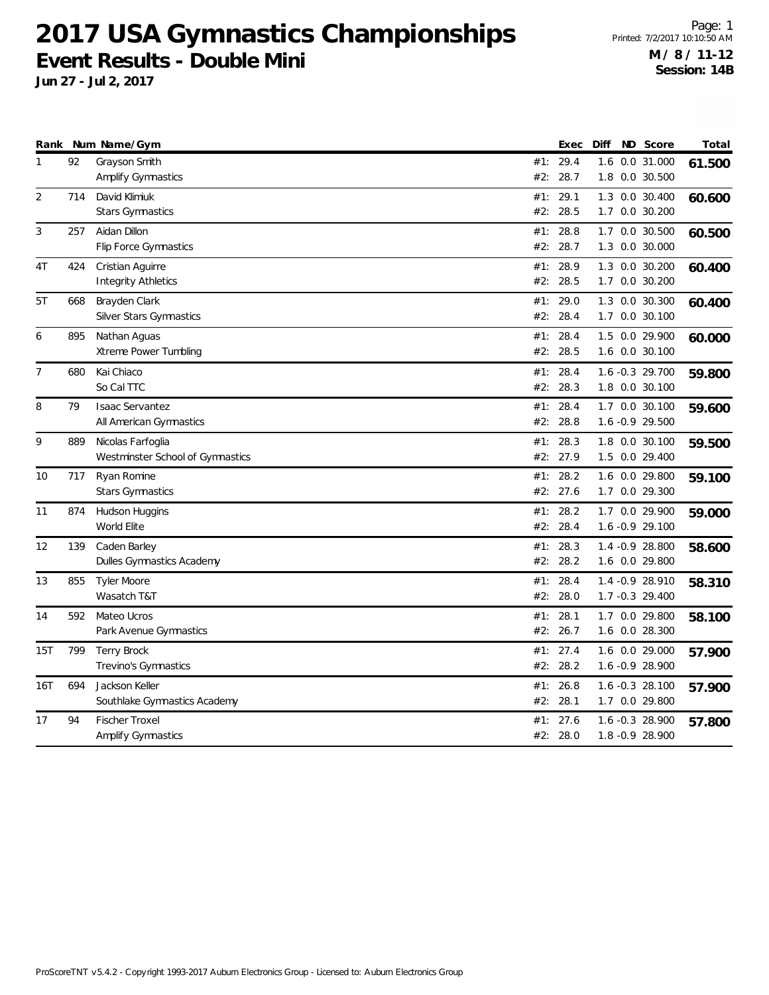**Jun 27 - Jul 2, 2017**

Page: 1 Printed: 7/2/2017 10:10:50 AM **M / 8 / 11-12 Session: 14B**

|     |     | Rank Num Name/Gym                |     | Exec     | Diff | ND Score         | Total  |
|-----|-----|----------------------------------|-----|----------|------|------------------|--------|
| 1   | 92  | Grayson Smith                    | #1: | 29.4     |      | 1.6 0.0 31.000   | 61.500 |
|     |     | <b>Amplify Gymnastics</b>        | #2: | 28.7     |      | 1.8 0.0 30.500   |        |
| 2   | 714 | David Klimiuk                    | #1: | 29.1     |      | 1.3 0.0 30.400   | 60.600 |
|     |     | Stars Gymnastics                 | #2: | 28.5     |      | 1.7 0.0 30.200   |        |
| 3   | 257 | Aidan Dillon                     | #1: | 28.8     |      | 1.7 0.0 30.500   | 60.500 |
|     |     | Flip Force Gymnastics            | #2: | 28.7     |      | 1.3 0.0 30.000   |        |
| 4T  | 424 | Cristian Aguirre                 | #1: | 28.9     | 1.3  | 0.0 30.200       | 60.400 |
|     |     | <b>Integrity Athletics</b>       | #2: | 28.5     |      | 1.7 0.0 30.200   |        |
| 5T  | 668 | Brayden Clark                    | #1: | 29.0     |      | 1.3 0.0 30.300   | 60.400 |
|     |     | <b>Silver Stars Gymnastics</b>   | #2: | 28.4     |      | 1.7 0.0 30.100   |        |
| 6   | 895 | Nathan Aguas                     | #1: | 28.4     |      | 1.5 0.0 29.900   | 60.000 |
|     |     | Xtreme Power Tumbling            |     | #2: 28.5 |      | 1.6 0.0 30.100   |        |
| 7   | 680 | Kai Chiaco                       | #1: | 28.4     |      | 1.6 -0.3 29.700  | 59.800 |
|     |     | So Cal TTC                       | #2: | 28.3     |      | 1.8 0.0 30.100   |        |
| 8   | 79  | <b>Isaac Servantez</b>           | #1: | 28.4     |      | 1.7 0.0 30.100   | 59.600 |
|     |     | All American Gymnastics          | #2: | 28.8     |      | 1.6 -0.9 29.500  |        |
| 9   | 889 | Nicolas Farfoglia                | #1: | 28.3     |      | 1.8 0.0 30.100   | 59.500 |
|     |     | Westminster School of Gymnastics | #2: | 27.9     |      | 1.5 0.0 29.400   |        |
| 10  | 717 | Ryan Romine                      | #1: | 28.2     |      | 1.6 0.0 29.800   | 59.100 |
|     |     | Stars Gymnastics                 |     | #2: 27.6 |      | 1.7 0.0 29.300   |        |
| 11  | 874 | Hudson Huggins                   | #1: | 28.2     |      | 1.7 0.0 29.900   | 59.000 |
|     |     | World Elite                      | #2: | 28.4     |      | 1.6 -0.9 29.100  |        |
| 12  | 139 | Caden Barley                     | #1: | 28.3     |      | 1.4 - 0.9 28.800 | 58.600 |
|     |     | Dulles Gymnastics Academy        |     | #2: 28.2 |      | 1.6 0.0 29.800   |        |
| 13  | 855 | <b>Tyler Moore</b>               | #1: | 28.4     |      | 1.4 - 0.9 28.910 | 58.310 |
|     |     | Wasatch T&T                      | #2: | 28.0     |      | 1.7 -0.3 29.400  |        |
| 14  | 592 | Mateo Ucros                      | #1: | 28.1     |      | 1.7 0.0 29.800   | 58.100 |
|     |     | Park Avenue Gymnastics           |     | #2: 26.7 |      | 1.6 0.0 28.300   |        |
| 15T | 799 | <b>Terry Brock</b>               | #1: | 27.4     |      | 1.6 0.0 29.000   | 57.900 |
|     |     | Trevino's Gymnastics             | #2: | 28.2     |      | 1.6 -0.9 28.900  |        |
| 16T | 694 | Jackson Keller                   | #1: | 26.8     |      | 1.6 -0.3 28.100  | 57.900 |
|     |     | Southlake Gymnastics Academy     | #2: | 28.1     |      | 1.7 0.0 29.800   |        |
| 17  | 94  | <b>Fischer Troxel</b>            | #1: | 27.6     |      | 1.6 -0.3 28.900  |        |
|     |     | <b>Amplify Gymnastics</b>        |     | #2: 28.0 |      | 1.8 -0.9 28.900  | 57.800 |
|     |     |                                  |     |          |      |                  |        |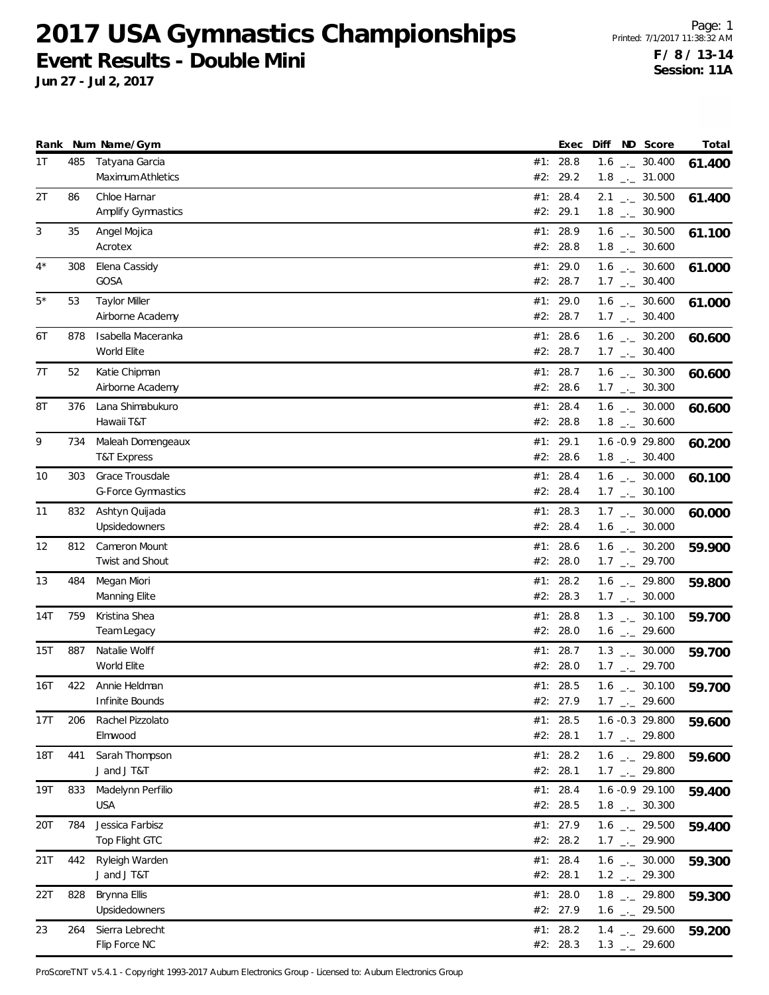**Jun 27 - Jul 2, 2017**

|       |     | Rank Num Name/Gym                            |     | Exec                   | Diff ND Score                                                | Total  |
|-------|-----|----------------------------------------------|-----|------------------------|--------------------------------------------------------------|--------|
| 1T    | 485 | Tatyana Garcia<br>Maximum Athletics          |     | #1: 28.8<br>#2: 29.2   | $1.6$ $_{\leftarrow}$ 30.400<br>$1.8$ $_{-}$ 31.000          | 61.400 |
| 2T    | 86  | Chloe Harnar<br><b>Amplify Gymnastics</b>    |     | #1: 28.4<br>#2: 29.1   | $2.1$ $_{\leftarrow}$ 30.500<br>$1.8$ $_{\leftarrow}$ 30.900 | 61.400 |
| 3     | 35  | Angel Mojica<br>Acrotex                      |     | #1: 28.9<br>#2: 28.8   | $1.6$ $_{\leftarrow}$ 30.500<br>$1.8$ $_{\leftarrow}$ 30.600 | 61.100 |
| $4^*$ | 308 | Elena Cassidy<br>GOSA                        |     | #1: 29.0<br>#2: 28.7   | $1.6$ $_{\leftarrow}$ 30.600<br>$1.7$ $_{\leftarrow}$ 30.400 | 61.000 |
| $5*$  | 53  | <b>Taylor Miller</b><br>Airborne Academy     |     | #1: 29.0<br>#2: 28.7   | $1.6$ $_{\leftarrow}$ 30.600<br>$1.7$ $_{\leftarrow}$ 30.400 | 61.000 |
| 6T    | 878 | Isabella Maceranka<br>World Elite            |     | #1: 28.6<br>#2: 28.7   | $1.6$ $_{\leftarrow}$ 30.200<br>$1.7$ $_{\leftarrow}$ 30.400 | 60.600 |
| 7T    | 52  | Katie Chipman<br>Airborne Academy            |     | #1: 28.7<br>#2: 28.6   | $1.6$ $_{\leftarrow}$ 30.300<br>$1.7$ $_{\leftarrow}$ 30.300 | 60.600 |
| 8Τ    | 376 | Lana Shimabukuro<br>Hawaii T&T               |     | #1: 28.4<br>#2: 28.8   | $1.6$ $_{\leftarrow}$ 30.000<br>$1.8$ $_{\leftarrow}$ 30.600 | 60.600 |
| 9     | 734 | Maleah Domengeaux<br><b>T&amp;T Express</b>  |     | #1: 29.1<br>#2: 28.6   | 1.6 -0.9 29.800<br>$1.8$ $_{\leftarrow}$ 30.400              | 60.200 |
| 10    | 303 | Grace Trousdale<br><b>G-Force Gymnastics</b> |     | #1: 28.4<br>#2: 28.4   | $1.6$ $_{\leftarrow}$ 30.000<br>$1.7$ _._ 30.100             | 60.100 |
| 11    | 832 | Ashtyn Quijada<br>Upsidedowners              |     | #1: 28.3<br>#2: 28.4   | $1.7$ $_{\leftarrow}$ 30.000<br>$1.6$ $_{\leftarrow}$ 30.000 | 60.000 |
| 12    | 812 | Cameron Mount<br>Twist and Shout             | #1: | 28.6<br>#2: 28.0       | $1.6$ $_{\leftarrow}$ 30.200<br>$1.7$ $_{\leftarrow}$ 29.700 | 59.900 |
| 13    | 484 | Megan Miori<br>Manning Elite                 |     | #1: 28.2<br>#2: 28.3   | $1.6$ _ 29.800<br>$1.7$ $_{\leftarrow}$ 30.000               | 59.800 |
| 14T   | 759 | Kristina Shea<br>Team Legacy                 |     | #1: 28.8<br>#2: 28.0   | $1.3$ _ $-30.100$<br>$1.6$ $_{\leftarrow}$ 29.600            | 59.700 |
| 15T   | 887 | Natalie Wolff<br>World Elite                 |     | #1: 28.7<br>#2: 28.0   | $1.3$ $_{\leftarrow}$ 30.000<br>$1.7$ $_{\leftarrow}$ 29.700 | 59.700 |
| 16T   | 422 | Annie Heldman<br>Infinite Bounds             |     | #1: 28.5<br>#2: 27.9   | $1.6$ $_{\leftarrow}$ 30.100<br>$1.7$ $_{\leftarrow}$ 29.600 | 59.700 |
| 17T   | 206 | Rachel Pizzolato<br>Elmwood                  |     | #1: $28.5$<br>#2: 28.1 | 1.6 -0.3 29.800<br>$1.7$ $_{--}$ 29.800                      | 59.600 |
| 18T   | 441 | Sarah Thompson<br>J and J T&T                |     | #1: 28.2<br>#2: 28.1   | $1.6$ $_{\leftarrow}$ 29.800<br>$1.7$ $_{\leftarrow}$ 29.800 | 59.600 |
| 19T   | 833 | Madelynn Perfilio<br><b>USA</b>              |     | #1: 28.4<br>#2: 28.5   | 1.6 -0.9 29.100<br>$1.8$ $_{\leftarrow}$ 30.300              | 59.400 |
| 20T   | 784 | Jessica Farbisz<br>Top Flight GTC            |     | #1: 27.9<br>#2: 28.2   | 1.6 $_{\leftarrow}$ 29.500<br>$1.7$ $_{\leftarrow}$ 29.900   | 59.400 |
| 21T   | 442 | Ryleigh Warden<br>J and J T&T                |     | #1: 28.4<br>#2: 28.1   | $1.6$ $_{\leftarrow}$ 30.000<br>$1.2$ $_{\leftarrow}$ 29.300 | 59.300 |
| 22T   | 828 | Brynna Ellis<br>Upsidedowners                |     | #1: 28.0<br>#2: 27.9   | $1.8$ $_{-}$ 29.800<br>$1.6$ $_{\leftarrow}$ 29.500          | 59.300 |
| 23    | 264 | Sierra Lebrecht<br>Flip Force NC             |     | #1: 28.2<br>#2: 28.3   | $1.4$ $_{-}$ 29.600<br>$1.3$ $_{\leftarrow}$ 29.600          | 59.200 |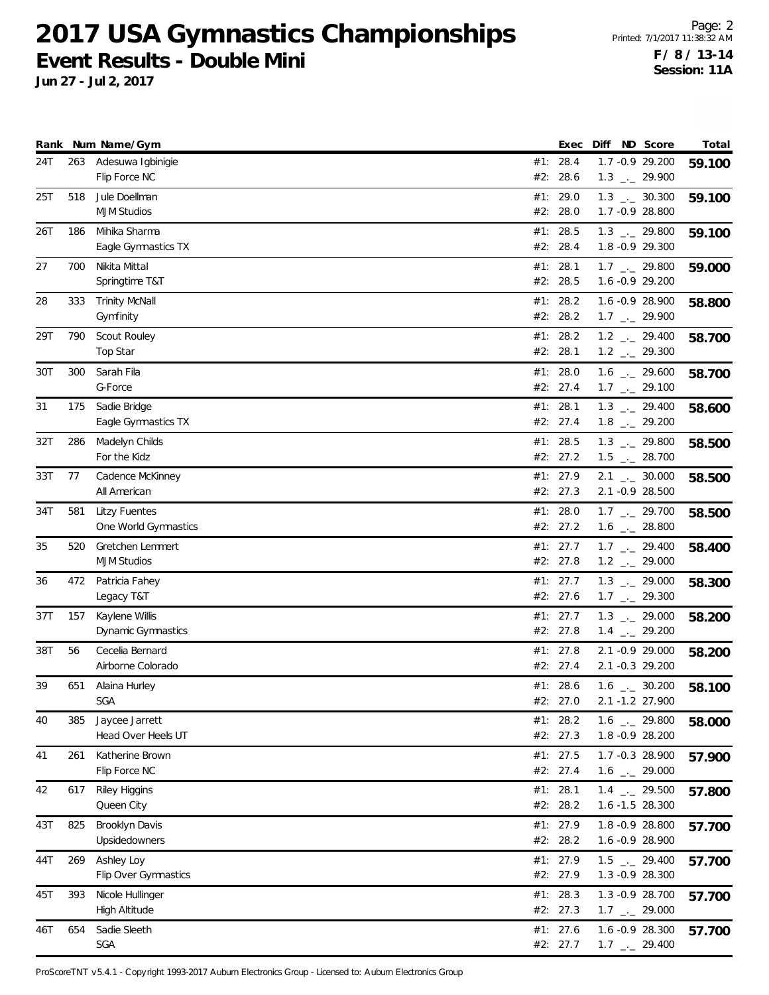**Jun 27 - Jul 2, 2017**

Page: 2 Printed: 7/1/2017 11:38:32 AM **F / 8 / 13-14 Session: 11A**

|     |     | Rank Num Name/Gym                   | Exec                 | Diff | ND Score                                                     | Total  |
|-----|-----|-------------------------------------|----------------------|------|--------------------------------------------------------------|--------|
| 24T | 263 | Adesuwa Igbinigie<br>Flip Force NC  | #1: 28.4<br>#2: 28.6 |      | 1.7 - 0.9 29.200                                             | 59.100 |
|     |     |                                     |                      |      | $1.3$ $_{\leftarrow}$ 29.900                                 |        |
| 25T | 518 | Jule Doellman<br><b>MJM Studios</b> | #1: 29.0<br>#2: 28.0 |      | $1.3$ $_{\leftarrow}$ 30.300<br>1.7 -0.9 28.800              | 59.100 |
| 26T | 186 | Mihika Sharma                       | #1: 28.5             |      | $1.3$ $_{\leftarrow}$ 29.800                                 | 59.100 |
|     |     | Eagle Gymnastics TX                 | #2: 28.4             |      | 1.8 -0.9 29.300                                              |        |
| 27  | 700 | Nikita Mittal                       | #1: 28.1             |      | $1.7$ $_{\leftarrow}$ 29.800                                 | 59.000 |
|     |     | Springtime T&T                      | #2: 28.5             |      | 1.6 -0.9 29.200                                              |        |
| 28  | 333 | <b>Trinity McNall</b>               | #1: 28.2             |      | 1.6 -0.9 28.900                                              | 58.800 |
|     |     | Gymfinity                           | #2: 28.2             |      | $1.7$ $_{\leftarrow}$ 29.900                                 |        |
| 29T | 790 | Scout Rouley                        | #1: 28.2             |      | $1.2$ $_{-2}$ 29.400                                         | 58.700 |
|     |     | Top Star                            | #2: 28.1             |      | $1.2$ $_{\leftarrow}$ 29.300                                 |        |
| 30T | 300 | Sarah Fila<br>G-Force               | #1: 28.0<br>#2: 27.4 |      | $1.6$ $_{-1}$ 29.600<br>$1.7$ $_{\leftarrow}$ 29.100         | 58.700 |
| 31  |     |                                     |                      |      |                                                              |        |
|     | 175 | Sadie Bridge<br>Eagle Gymnastics TX | #1: 28.1<br>#2: 27.4 |      | $1.3$ $_{-}$ 29.400<br>$1.8$ $_{\leftarrow}$ 29.200          | 58.600 |
| 32T | 286 | Madelyn Childs                      | #1: 28.5             |      | $1.3$ $_{-2}$ 29.800                                         | 58.500 |
|     |     | For the Kidz                        | #2: 27.2             |      | $1.5$ $_{\leftarrow}$ 28.700                                 |        |
| 33T | 77  | Cadence McKinney                    | #1: 27.9             |      | $2.1$ $_{\leftarrow}$ 30.000                                 | 58.500 |
|     |     | All American                        | #2: 27.3             |      | 2.1 -0.9 28.500                                              |        |
| 34T | 581 | <b>Litzy Fuentes</b>                | #1: 28.0             |      | $1.7$ $_{\leftarrow}$ 29.700                                 | 58.500 |
|     |     | One World Gymnastics                | #2: 27.2             |      | $1.6$ $_{\leftarrow}$ 28.800                                 |        |
| 35  | 520 | Gretchen Lemmert                    | #1: 27.7             |      | $1.7$ $_{-2}$ 29.400                                         | 58.400 |
|     |     | <b>MJM Studios</b>                  | #2: 27.8             |      | $1.2$ $_{\leftarrow}$ 29.000                                 |        |
| 36  | 472 | Patricia Fahey<br>Legacy T&T        | #1: 27.7<br>#2: 27.6 |      | $1.3$ $_{\leftarrow}$ 29.000<br>$1.7$ $_{\leftarrow}$ 29.300 | 58.300 |
| 37T | 157 | Kaylene Willis                      | #1: 27.7             |      | $1.3$ $_{\leftarrow}$ 29.000                                 | 58.200 |
|     |     | Dynamic Gymnastics                  | #2: 27.8             |      | $1.4$ $_{-1}$ 29.200                                         |        |
| 38T | 56  | Cecelia Bernard                     | #1: $27.8$           |      | 2.1 -0.9 29.000                                              | 58.200 |
|     |     | Airborne Colorado                   | #2: 27.4             |      | 2.1 -0.3 29.200                                              |        |
| 39  | 651 | Alaina Hurley                       | #1: 28.6             |      | $1.6$ $_{\leftarrow}$ 30.200                                 | 58.100 |
|     |     | SGA                                 | #2: 27.0             |      | 2.1 -1.2 27.900                                              |        |
| 40  | 385 | Jaycee Jarrett                      | #1: 28.2             |      | $1.6$ $_{-2}$ 29.800                                         | 58.000 |
|     |     | Head Over Heels UT                  | #2: 27.3             |      | 1.8 -0.9 28.200                                              |        |
| 41  | 261 | Katherine Brown<br>Flip Force NC    | #1: 27.5<br>#2: 27.4 |      | 1.7 -0.3 28.900<br>$1.6$ $_{\leftarrow}$ 29.000              | 57.900 |
| 42  | 617 | <b>Riley Higgins</b>                | #1: 28.1             |      | $1.4$ $_{-1}$ 29.500                                         |        |
|     |     | Queen City                          | #2: 28.2             |      | 1.6 -1.5 28.300                                              | 57.800 |
| 43T | 825 | Brooklyn Davis                      | #1: 27.9             |      | 1.8 -0.9 28.800                                              | 57.700 |
|     |     | Upsidedowners                       | #2: 28.2             |      | 1.6 -0.9 28.900                                              |        |
| 44T | 269 | Ashley Loy                          | #1: 27.9             |      | $1.5$ $_{\leftarrow}$ 29.400                                 | 57.700 |
|     |     | Flip Over Gymnastics                | #2: 27.9             |      | 1.3 -0.9 28.300                                              |        |
| 45T | 393 | Nicole Hullinger                    | #1: 28.3             |      | 1.3 -0.9 28.700                                              | 57.700 |
|     |     | High Altitude                       | #2: 27.3             |      | $1.7$ $_{\leftarrow}$ 29.000                                 |        |
| 46T | 654 | Sadie Sleeth                        | #1: 27.6             |      | 1.6 -0.9 28.300                                              | 57.700 |
|     |     | SGA                                 | #2: 27.7             |      | $1.7$ $_{-1}$ 29.400                                         |        |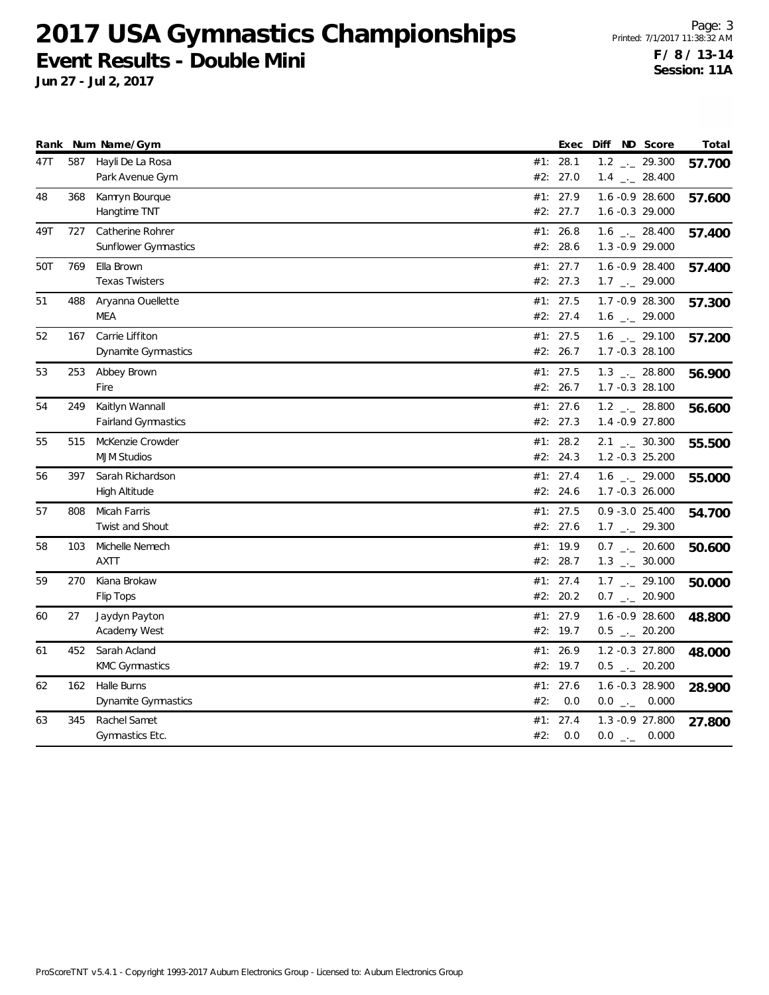**Jun 27 - Jul 2, 2017**

Page: 3 Printed: 7/1/2017 11:38:32 AM **F / 8 / 13-14 Session: 11A**

|     |     | Rank Num Name/Gym          |     | Exec     | Diff ND Score |                              | Total  |
|-----|-----|----------------------------|-----|----------|---------------|------------------------------|--------|
| 47T | 587 | Hayli De La Rosa           |     | #1: 28.1 |               | $1.2$ $_{-}$ 29.300          | 57.700 |
|     |     | Park Avenue Gym            |     | #2: 27.0 |               | $1.4$ $_{\leftarrow}$ 28.400 |        |
| 48  | 368 | Kamryn Bourque             |     | #1: 27.9 |               | 1.6 -0.9 28.600              | 57.600 |
|     |     | Hangtime TNT               |     | #2: 27.7 |               | $1.6 - 0.3$ 29.000           |        |
| 49T | 727 | Catherine Rohrer           |     | #1: 26.8 |               | $1.6$ _ 28.400               | 57.400 |
|     |     | Sunflower Gymnastics       |     | #2: 28.6 |               | $1.3 - 0.9$ 29.000           |        |
| 50T | 769 | Ella Brown                 |     | #1: 27.7 |               | 1.6 -0.9 28.400              | 57.400 |
|     |     | <b>Texas Twisters</b>      |     | #2: 27.3 |               | $1.7$ $_{\leftarrow}$ 29.000 |        |
| 51  | 488 | Aryanna Ouellette          |     | #1: 27.5 |               | 1.7 - 0.9 28.300             | 57.300 |
|     |     | MEA                        |     | #2: 27.4 |               | $1.6$ $_{-}$ 29.000          |        |
| 52  | 167 | Carrie Liffiton            |     | #1: 27.5 |               | $1.6$ $_{\leftarrow}$ 29.100 | 57.200 |
|     |     | Dynamite Gymnastics        |     | #2: 26.7 |               | 1.7 -0.3 28.100              |        |
| 53  | 253 | Abbey Brown                |     | #1: 27.5 |               | $1.3$ $_{-2}$ 28.800         | 56.900 |
|     |     | Fire                       |     | #2: 26.7 |               | 1.7 -0.3 28.100              |        |
| 54  | 249 | Kaitlyn Wannall            |     | #1: 27.6 |               | $1.2$ _ 28.800               | 56.600 |
|     |     | <b>Fairland Gymnastics</b> |     | #2: 27.3 |               | 1.4 - 0.9 27.800             |        |
| 55  | 515 | McKenzie Crowder           |     | #1: 28.2 |               | $2.1$ $_{\leftarrow}$ 30.300 | 55.500 |
|     |     | <b>MJM Studios</b>         |     | #2: 24.3 |               | $1.2 -0.3$ 25.200            |        |
| 56  | 397 | Sarah Richardson           |     | #1: 27.4 |               | 1.6 $-29.000$                | 55.000 |
|     |     | High Altitude              |     | #2: 24.6 |               | $1.7 - 0.3$ 26.000           |        |
| 57  | 808 | Micah Farris               |     | #1: 27.5 |               | $0.9 - 3.0 25.400$           | 54.700 |
|     |     | Twist and Shout            |     | #2: 27.6 |               | $1.7$ $_{\leftarrow}$ 29.300 |        |
| 58  | 103 | Michelle Nemech            |     | #1: 19.9 |               | $0.7$ _ 20.600               | 50.600 |
|     |     | <b>AXTT</b>                |     | #2: 28.7 |               | $1.3$ _ $-30.000$            |        |
| 59  | 270 | Kiana Brokaw               |     | #1: 27.4 |               | $1.7$ $_{-1}$ 29.100         | 50.000 |
|     |     | Flip Tops                  |     | #2: 20.2 |               | $0.7$ $_{\leftarrow}$ 20.900 |        |
| 60  | 27  | Jaydyn Payton              |     | #1: 27.9 |               | 1.6 -0.9 28.600              | 48.800 |
|     |     | Academy West               |     | #2: 19.7 |               | $0.5$ _ 20.200               |        |
| 61  | 452 | Sarah Acland               |     | #1: 26.9 |               | 1.2 -0.3 27.800              | 48.000 |
|     |     | <b>KMC Gymnastics</b>      |     | #2: 19.7 |               | $0.5$ _ 20.200               |        |
| 62  | 162 | Halle Burns                |     | #1: 27.6 |               | 1.6 -0.3 28.900              | 28.900 |
|     |     | Dynamite Gymnastics        | #2: | 0.0      |               | $0.0$ _ 0.000                |        |
| 63  | 345 | Rachel Samet               | #1: | 27.4     |               | 1.3 - 0.9 27.800             | 27.800 |
|     |     | Gymnastics Etc.            | #2: | 0.0      |               | $0.0$ _ 0.000                |        |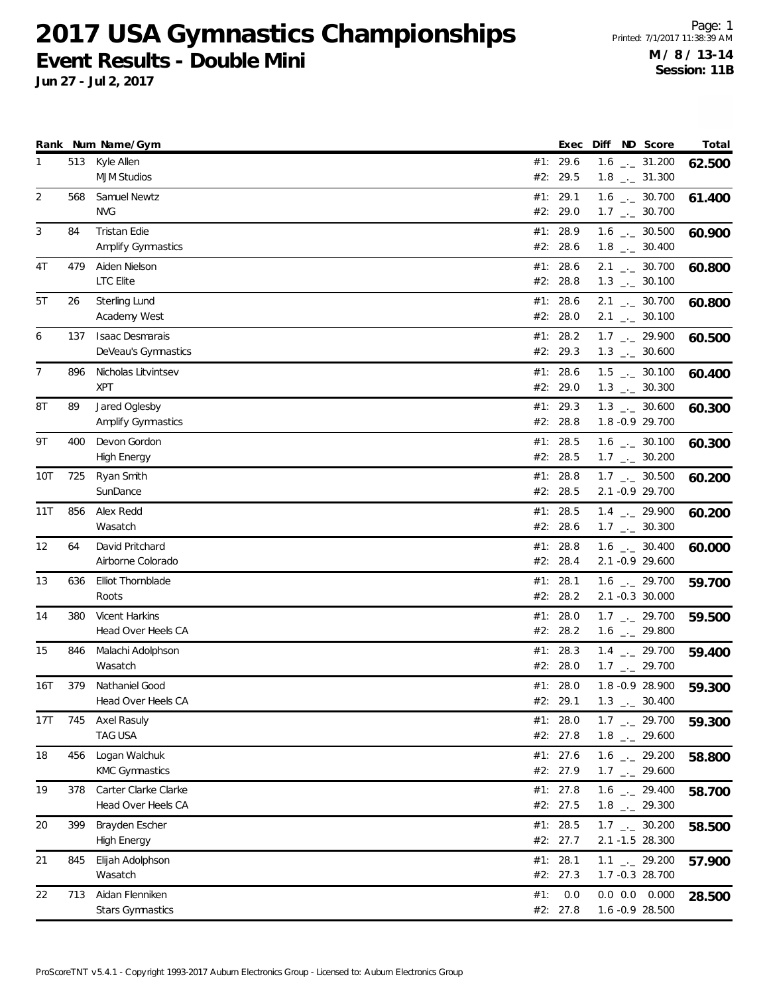**Jun 27 - Jul 2, 2017**

Page: 1 Printed: 7/1/2017 11:38:39 AM **M / 8 / 13-14 Session: 11B**

|                |     | Rank Num Name/Gym                             |     | Exec                   | Diff | ND Score                                                     | Total  |
|----------------|-----|-----------------------------------------------|-----|------------------------|------|--------------------------------------------------------------|--------|
| $\mathbf{1}$   | 513 | Kyle Allen<br><b>MJM Studios</b>              |     | #1: 29.6<br>#2: 29.5   |      | $1.6$ $_{\leftarrow}$ 31.200<br>$1.8$ $_{\leftarrow}$ 31.300 | 62.500 |
| 2              | 568 | Samuel Newtz<br><b>NVG</b>                    |     | #1: 29.1<br>#2: 29.0   |      | $1.6$ $_{\leftarrow}$ 30.700<br>$1.7$ $_{\leftarrow}$ 30.700 | 61.400 |
| 3              | 84  | <b>Tristan Edie</b><br>Amplify Gymnastics     |     | #1: 28.9<br>#2: 28.6   |      | $1.6$ $_{\leftarrow}$ 30.500<br>$1.8$ $_{\leftarrow}$ 30.400 | 60.900 |
| 4T             | 479 | Aiden Nielson<br>LTC Elite                    |     | #1: 28.6<br>#2: 28.8   |      | $2.1$ $_{-1}$ 30.700<br>$1.3$ $_{\leftarrow}$ 30.100         | 60.800 |
| 5T             | 26  | Sterling Lund<br>Academy West                 |     | #1: 28.6<br>#2: 28.0   |      | $2.1$ $_{\leftarrow}$ 30.700<br>$2.1$ _._ 30.100             | 60.800 |
| 6              | 137 | <b>Isaac Desmarais</b><br>DeVeau's Gymnastics |     | #1: 28.2<br>#2: 29.3   |      | $1.7$ $_{-2}$ 29.900<br>$1.3$ $_{\leftarrow}$ 30.600         | 60.500 |
| $\overline{7}$ | 896 | Nicholas Litvintsev<br><b>XPT</b>             |     | #1: 28.6<br>#2: 29.0   |      | $1.5$ $_{-}$ 30.100<br>$1.3$ $_{\leftarrow}$ 30.300          | 60.400 |
| 8T             | 89  | Jared Oglesby<br><b>Amplify Gymnastics</b>    |     | #1: 29.3<br>#2: 28.8   |      | $1.3$ $_{\leftarrow}$ 30.600<br>1.8 - 0.9 29.700             | 60.300 |
| 9T             | 400 | Devon Gordon<br>High Energy                   |     | #1: 28.5<br>#2: 28.5   |      | $1.6$ $_{\leftarrow}$ 30.100<br>$1.7$ $_{\leftarrow}$ 30.200 | 60.300 |
| 10T            | 725 | Ryan Smith<br>SunDance                        |     | #1: 28.8<br>#2: 28.5   |      | $1.7$ $_{\leftarrow}$ 30.500<br>2.1 -0.9 29.700              | 60.200 |
| 11T            | 856 | Alex Redd<br>Wasatch                          |     | #1: 28.5<br>#2: 28.6   |      | $1.4$ $_{-1}$ 29.900<br>$1.7$ $_{\leftarrow}$ 30.300         | 60.200 |
| 12             | 64  | David Pritchard<br>Airborne Colorado          |     | #1: 28.8<br>#2: 28.4   |      | $1.6$ $_{\leftarrow}$ 30.400<br>2.1 -0.9 29.600              | 60.000 |
| 13             | 636 | Elliot Thornblade<br>Roots                    |     | #1: 28.1<br>#2: 28.2   |      | $1.6$ $_{\leftarrow}$ 29.700<br>2.1 -0.3 30.000              | 59.700 |
| 14             | 380 | Vicent Harkins<br>Head Over Heels CA          |     | #1: 28.0<br>#2: 28.2   |      | $1.7$ $_{\leftarrow}$ 29.700<br>$1.6$ $_{\leftarrow}$ 29.800 | 59.500 |
| 15             | 846 | Malachi Adolphson<br>Wasatch                  | #1: | 28.3<br>#2: 28.0       |      | $1.4$ $-29.700$<br>$1.7$ $_{\leftarrow}$ 29.700              | 59.400 |
| 16T            | 379 | Nathaniel Good<br>Head Over Heels CA          |     | #1: 28.0<br>#2: 29.1   |      | 1.8 -0.9 28.900<br>$1.3$ _._ 30.400                          | 59.300 |
| 17T            | 745 | Axel Rasuly<br>TAG USA                        |     | #1: $28.0$<br>#2: 27.8 |      | $1.7$ $_{\leftarrow}$ 29.700<br>$1.8$ $_{-}$ 29.600          | 59.300 |
| 18             | 456 | Logan Walchuk<br><b>KMC Gymnastics</b>        |     | #1: 27.6<br>#2: 27.9   |      | $1.6$ $_{\leftarrow}$ 29.200<br>$1.7$ $_{\leftarrow}$ 29.600 | 58.800 |
| 19             | 378 | Carter Clarke Clarke<br>Head Over Heels CA    |     | #1: $27.8$<br>#2: 27.5 |      | $1.6$ $_{\leftarrow}$ 29.400<br>$1.8$ $_{-}$ 29.300          | 58.700 |
| 20             | 399 | Brayden Escher<br>High Energy                 |     | #1: 28.5<br>#2: 27.7   |      | $1.7$ $_{--}$ 30.200<br>2.1 -1.5 28.300                      | 58.500 |
| 21             | 845 | Elijah Adolphson<br>Wasatch                   |     | #1: 28.1<br>#2: 27.3   |      | $1.1$ $_{-}$ 29.200<br>1.7 -0.3 28.700                       | 57.900 |
| 22             | 713 | Aidan Flenniken<br><b>Stars Gymnastics</b>    | #1: | 0.0<br>#2: 27.8        |      | $0.0$ $0.0$ $0.000$<br>1.6 -0.9 28.500                       | 28.500 |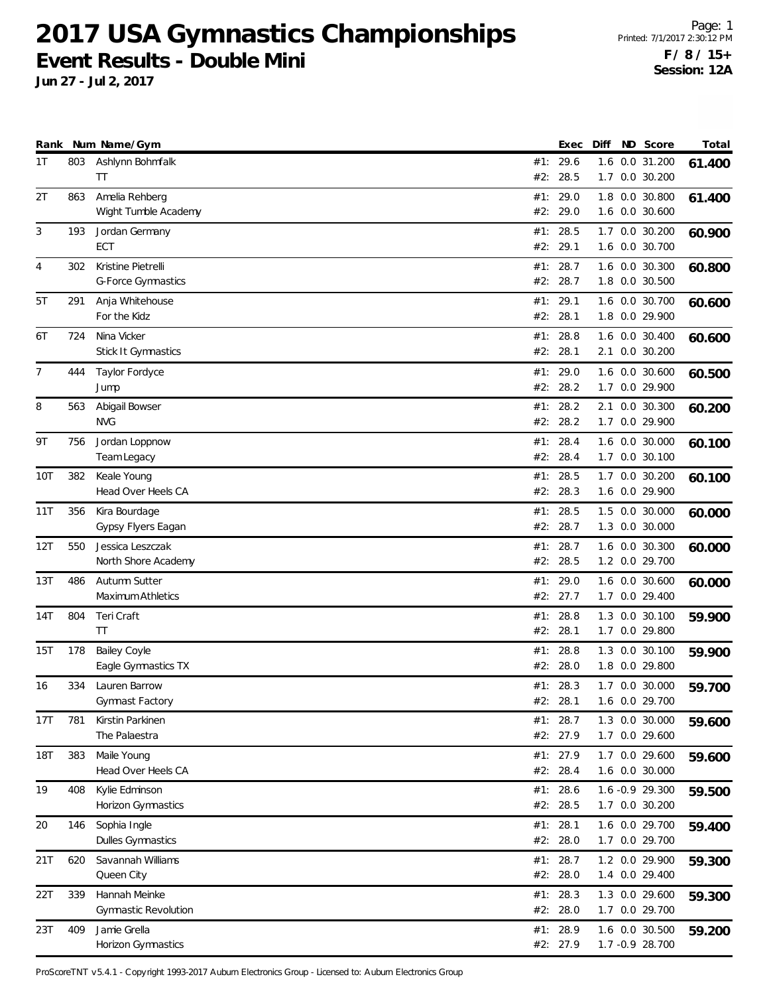**Jun 27 - Jul 2, 2017**

Page: 1 Printed: 7/1/2017 2:30:12 PM **F / 8 / 15+ Session: 12A**

|            |     | Rank Num Name/Gym                            |            | Exec                 | Diff | ND Score                           | Total  |
|------------|-----|----------------------------------------------|------------|----------------------|------|------------------------------------|--------|
| 1T         | 803 | Ashlynn Bohmfalk<br>TT                       | #2:        | #1: 29.6<br>28.5     |      | 1.6 0.0 31.200<br>1.7 0.0 30.200   | 61.400 |
| 2T         | 863 | Amelia Rehberg<br>Wight Tumble Academy       |            | #1: 29.0<br>#2: 29.0 |      | 1.8 0.0 30.800<br>1.6 0.0 30.600   | 61.400 |
| 3          | 193 | Jordan Germany<br>ECT                        | #2:        | #1: 28.5<br>29.1     |      | 1.7 0.0 30.200<br>1.6 0.0 30.700   | 60.900 |
| 4          | 302 | Kristine Pietrelli<br>G-Force Gymnastics     | #2:        | #1: 28.7<br>28.7     |      | 1.6 0.0 30.300<br>1.8 0.0 30.500   | 60.800 |
| 5T         | 291 | Anja Whitehouse<br>For the Kidz              | #1:<br>#2: | 29.1<br>28.1         |      | 1.6 0.0 30.700<br>1.8 0.0 29.900   | 60.600 |
| 6T         | 724 | Nina Vicker<br>Stick It Gymnastics           | #1:        | 28.8<br>#2: 28.1     |      | 1.6 0.0 30.400<br>2.1 0.0 30.200   | 60.600 |
| 7          | 444 | Taylor Fordyce<br>Jump                       | #2:        | #1: 29.0<br>28.2     |      | 1.6 0.0 30.600<br>1.7 0.0 29.900   | 60.500 |
| 8          | 563 | Abigail Bowser<br><b>NVG</b>                 | #1:<br>#2: | 28.2<br>28.2         |      | 2.1 0.0 30.300<br>1.7 0.0 29.900   | 60.200 |
| 9T         | 756 | Jordan Loppnow<br>Team Legacy                | #1∶        | 28.4<br>#2: 28.4     |      | 1.6 0.0 30.000<br>1.7 0.0 30.100   | 60.100 |
| 10T        | 382 | Keale Young<br>Head Over Heels CA            |            | #1: 28.5<br>#2: 28.3 |      | 1.7 0.0 30.200<br>1.6 0.0 29.900   | 60.100 |
| 11T        | 356 | Kira Bourdage<br>Gypsy Flyers Eagan          |            | #1: 28.5<br>#2: 28.7 |      | 1.5 0.0 30.000<br>1.3 0.0 30.000   | 60.000 |
| 12T        | 550 | Jessica Leszczak<br>North Shore Academy      | #1:<br>#2: | 28.7<br>28.5         |      | 1.6 0.0 30.300<br>1.2 0.0 29.700   | 60.000 |
| 13T        | 486 | Autumn Sutter<br>Maximum Athletics           |            | #1: 29.0<br>#2: 27.7 |      | 1.6 0.0 30.600<br>1.7 0.0 29.400   | 60.000 |
| 14T        | 804 | Teri Craft<br>TT                             | #1:        | 28.8<br>#2: 28.1     |      | 1.3 0.0 30.100<br>1.7 0.0 29.800   | 59.900 |
| 15T        | 178 | Bailey Coyle<br>Eagle Gymnastics TX          | #1:<br>#2: | 28.8<br>28.0         |      | 1.3 0.0 30.100<br>1.8 0.0 29.800   | 59.900 |
| 16         | 334 | Lauren Barrow<br>Gymnast Factory             |            | #1: 28.3<br>#2: 28.1 |      | 1.7 0.0 30.000<br>1.6 0.0 29.700   | 59.700 |
| 17T        | 781 | Kirstin Parkinen<br>The Palaestra            |            | #1: 28.7<br>#2: 27.9 |      | 1.3 0.0 30.000<br>1.7 0.0 29.600   | 59.600 |
| <b>18T</b> | 383 | Maile Young<br>Head Over Heels CA            |            | #1: 27.9<br>#2: 28.4 |      | 1.7 0.0 29.600<br>1.6 0.0 30.000   | 59.600 |
| 19         | 408 | Kylie Edminson<br>Horizon Gymnastics         |            | #1: 28.6<br>#2: 28.5 |      | 1.6 -0.9 29.300<br>1.7 0.0 30.200  | 59.500 |
| 20         | 146 | Sophia Ingle<br><b>Dulles Gymnastics</b>     |            | #1: 28.1<br>#2: 28.0 |      | 1.6 0.0 29.700<br>1.7 0.0 29.700   | 59.400 |
| 21T        | 620 | Savannah Williams<br>Queen City              |            | #1: 28.7<br>#2: 28.0 |      | 1.2 0.0 29.900<br>1.4 0.0 29.400   | 59.300 |
| 22T        | 339 | Hannah Meinke<br><b>Gymnastic Revolution</b> |            | #1: 28.3<br>#2: 28.0 |      | 1.3 0.0 29.600<br>1.7 0.0 29.700   | 59.300 |
| 23T        | 409 | Jamie Grella<br>Horizon Gymnastics           |            | #1: 28.9<br>#2: 27.9 |      | 1.6 0.0 30.500<br>1.7 - 0.9 28.700 | 59.200 |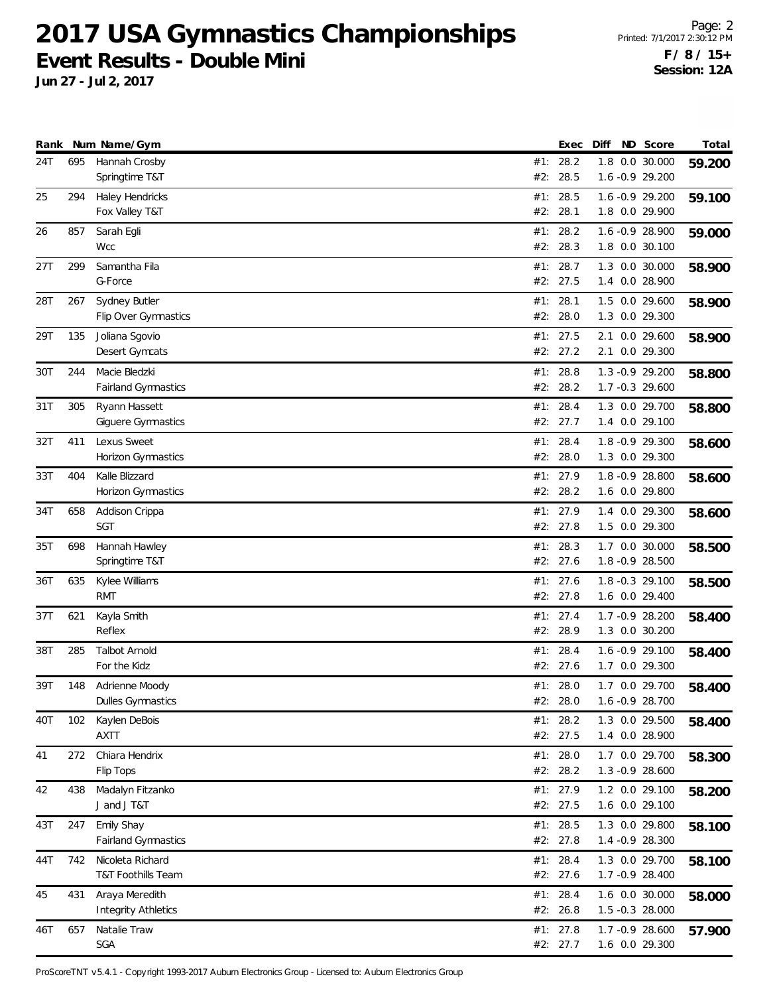**Jun 27 - Jul 2, 2017**

Page: 2 Printed: 7/1/2017 2:30:12 PM **F / 8 / 15+ Session: 12A**

|     |     | Rank Num Name/Gym                            |     | Exec                 | Diff | ND Score                             | Total  |
|-----|-----|----------------------------------------------|-----|----------------------|------|--------------------------------------|--------|
| 24T | 695 | Hannah Crosby<br>Springtime T&T              | #2: | #1: 28.2<br>28.5     |      | 1.8 0.0 30.000<br>1.6 -0.9 29.200    | 59.200 |
| 25  | 294 | Haley Hendricks<br>Fox Valley T&T            |     | #1: 28.5<br>#2: 28.1 |      | 1.6 -0.9 29.200<br>1.8 0.0 29.900    | 59.100 |
| 26  | 857 | Sarah Egli<br>Wcc                            |     | #1: 28.2<br>#2: 28.3 |      | 1.6 -0.9 28.900<br>1.8 0.0 30.100    | 59.000 |
| 27T | 299 | Samantha Fila<br>G-Force                     |     | #1: 28.7<br>#2: 27.5 |      | 1.3 0.0 30.000<br>1.4 0.0 28.900     | 58.900 |
| 28T | 267 | Sydney Butler<br>Flip Over Gymnastics        | #1: | 28.1<br>#2: 28.0     |      | 1.5 0.0 29.600<br>1.3 0.0 29.300     | 58.900 |
| 29T | 135 | Joliana Sgovio<br>Desert Gymcats             |     | #1: 27.5<br>#2: 27.2 |      | 2.1 0.0 29.600<br>2.1 0.0 29.300     | 58.900 |
| 30T | 244 | Macie Bledzki<br>Fairland Gymnastics         | #2: | #1: 28.8<br>28.2     |      | 1.3 - 0.9 29.200<br>1.7 -0.3 29.600  | 58.800 |
| 31T | 305 | Ryann Hassett<br>Giguere Gymnastics          | #1: | 28.4<br>#2: 27.7     |      | 1.3 0.0 29.700<br>1.4 0.0 29.100     | 58.800 |
| 32T | 411 | Lexus Sweet<br>Horizon Gymnastics            | #1: | 28.4<br>#2: 28.0     |      | 1.8 - 0.9 29.300<br>1.3 0.0 29.300   | 58.600 |
| 33T | 404 | Kalle Blizzard<br><b>Horizon Gymnastics</b>  |     | #1: 27.9<br>#2: 28.2 |      | 1.8 - 0.9 28.800<br>1.6 0.0 29.800   | 58.600 |
| 34T | 658 | Addison Crippa<br><b>SGT</b>                 |     | #1: 27.9<br>#2: 27.8 |      | 1.4 0.0 29.300<br>1.5 0.0 29.300     | 58.600 |
| 35T | 698 | Hannah Hawley<br>Springtime T&T              | #1: | 28.3<br>#2: 27.6     |      | 1.7 0.0 30.000<br>1.8 - 0.9 28.500   | 58.500 |
| 36T | 635 | Kylee Williams<br><b>RMT</b>                 |     | #1: 27.6<br>#2: 27.8 |      | $1.8 - 0.3$ 29.100<br>1.6 0.0 29.400 | 58.500 |
| 37T | 621 | Kayla Smith<br>Reflex                        |     | #1: 27.4<br>#2: 28.9 |      | 1.7 - 0.9 28.200<br>1.3 0.0 30.200   | 58.400 |
| 38T | 285 | <b>Talbot Arnold</b><br>For the Kidz         | #1: | 28.4<br>#2: 27.6     |      | 1.6 -0.9 29.100<br>1.7 0.0 29.300    | 58.400 |
| 39T | 148 | Adrienne Moody<br>Dulles Gymnastics          |     | #1: 28.0<br>#2: 28.0 |      | 1.7 0.0 29.700<br>1.6 -0.9 28.700    | 58.400 |
| 40T | 102 | Kaylen DeBois<br><b>AXTT</b>                 |     | #1: 28.2<br>#2: 27.5 |      | 1.3 0.0 29.500<br>1.4 0.0 28.900     | 58.400 |
| 41  | 272 | Chiara Hendrix<br>Flip Tops                  |     | #1: 28.0<br>#2: 28.2 |      | 1.7 0.0 29.700<br>1.3 -0.9 28.600    | 58.300 |
| 42  | 438 | Madalyn Fitzanko<br>J and J T&T              |     | #1: 27.9<br>#2: 27.5 |      | 1.2 0.0 29.100<br>1.6 0.0 29.100     | 58.200 |
| 43T | 247 | Emily Shay<br>Fairland Gymnastics            |     | #1: 28.5<br>#2: 27.8 |      | 1.3 0.0 29.800<br>1.4 - 0.9 28.300   | 58.100 |
| 44T | 742 | Nicoleta Richard<br>T&T Foothills Team       |     | #1: 28.4<br>#2: 27.6 |      | 1.3 0.0 29.700<br>1.7 -0.9 28.400    | 58.100 |
| 45  | 431 | Araya Meredith<br><b>Integrity Athletics</b> |     | #1: 28.4<br>#2: 26.8 |      | 1.6 0.0 30.000<br>1.5 -0.3 28.000    | 58.000 |
| 46T | 657 | Natalie Traw<br>SGA                          |     | #1: 27.8<br>#2: 27.7 |      | 1.7 -0.9 28.600<br>1.6 0.0 29.300    | 57.900 |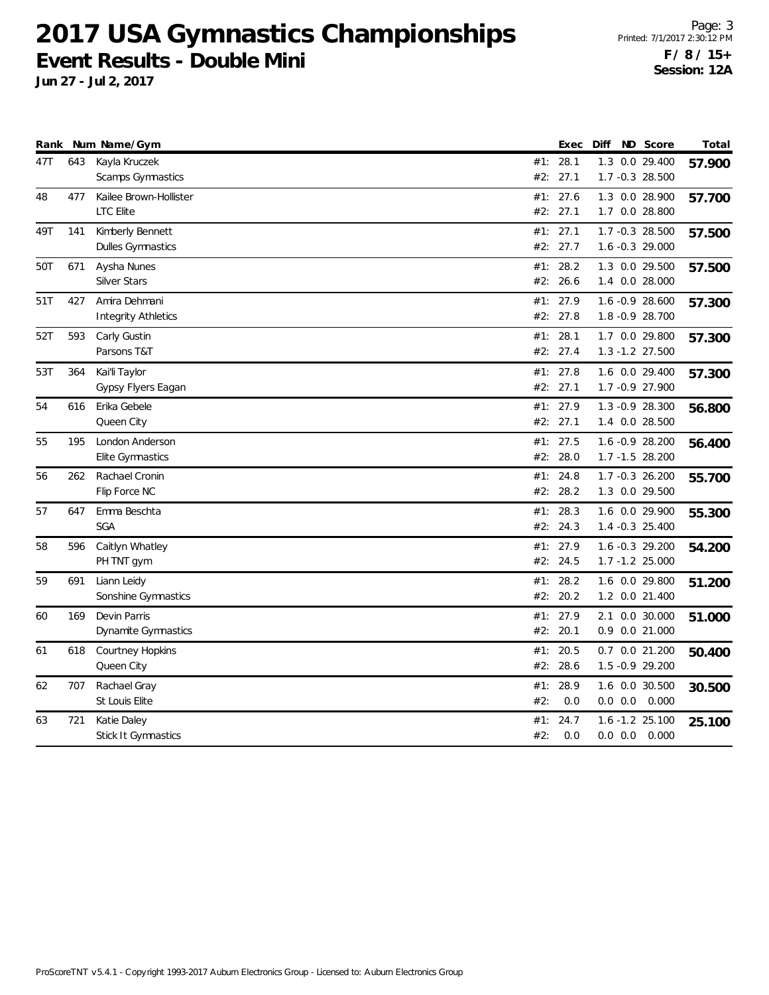**Jun 27 - Jul 2, 2017**

Page: 3 Printed: 7/1/2017 2:30:12 PM **F / 8 / 15+ Session: 12A**

| Rank |     | Num Name/Gym               |     | Exec     | Diff | ND Score            | Total  |
|------|-----|----------------------------|-----|----------|------|---------------------|--------|
| 47T  | 643 | Kayla Kruczek              |     | #1: 28.1 |      | 1.3 0.0 29.400      | 57.900 |
|      |     | Scamps Gymnastics          | #2: | 27.1     |      | 1.7 -0.3 28.500     |        |
| 48   | 477 | Kailee Brown-Hollister     | #1: | 27.6     |      | 1.3 0.0 28.900      | 57.700 |
|      |     | <b>LTC Elite</b>           |     | #2: 27.1 |      | 1.7 0.0 28.800      |        |
| 49T  | 141 | Kimberly Bennett           |     | #1: 27.1 |      | 1.7 -0.3 28.500     | 57.500 |
|      |     | Dulles Gymnastics          |     | #2: 27.7 |      | $1.6 - 0.3$ 29.000  |        |
| 50T  | 671 | Aysha Nunes                | #1: | 28.2     |      | 1.3 0.0 29.500      | 57.500 |
|      |     | <b>Silver Stars</b>        |     | #2: 26.6 |      | 1.4 0.0 28.000      |        |
| 51T  | 427 | Amira Dehmani              |     | #1: 27.9 |      | 1.6 -0.9 28.600     | 57.300 |
|      |     | <b>Integrity Athletics</b> |     | #2: 27.8 |      | 1.8 -0.9 28.700     |        |
| 52T  | 593 | Carly Gustin               |     | #1: 28.1 |      | 1.7 0.0 29.800      | 57.300 |
|      |     | Parsons T&T                |     | #2: 27.4 |      | 1.3 -1.2 27.500     |        |
| 53T  | 364 | Kai'li Taylor              |     | #1: 27.8 |      | 1.6 0.0 29.400      | 57.300 |
|      |     | Gypsy Flyers Eagan         |     | #2: 27.1 |      | 1.7 - 0.9 27.900    |        |
| 54   | 616 | Erika Gebele               |     | #1: 27.9 |      | $1.3 -0.9$ 28.300   | 56.800 |
|      |     | Queen City                 |     | #2: 27.1 |      | 1.4 0.0 28.500      |        |
| 55   | 195 | London Anderson            |     | #1: 27.5 |      | 1.6 -0.9 28.200     | 56.400 |
|      |     | Elite Gymnastics           |     | #2: 28.0 |      | 1.7 -1.5 28.200     |        |
| 56   | 262 | Rachael Cronin             | #1: | 24.8     |      | 1.7 -0.3 26.200     | 55.700 |
|      |     | Flip Force NC              | #2: | 28.2     |      | 1.3 0.0 29.500      |        |
| 57   | 647 | Emma Beschta               |     | #1: 28.3 |      | 1.6 0.0 29.900      | 55.300 |
|      |     | <b>SGA</b>                 |     | #2: 24.3 |      | 1.4 -0.3 25.400     |        |
| 58   | 596 | Caitlyn Whatley            |     | #1: 27.9 |      | 1.6 -0.3 29.200     | 54.200 |
|      |     | PH TNT gym                 |     | #2: 24.5 |      | 1.7 -1.2 25.000     |        |
| 59   | 691 | Liann Leidy                | #1: | 28.2     |      | 1.6 0.0 29.800      | 51.200 |
|      |     | Sonshine Gymnastics        | #2: | 20.2     |      | 1.2 0.0 21.400      |        |
| 60   | 169 | Devin Parris               |     | #1: 27.9 |      | 2.1 0.0 30.000      | 51.000 |
|      |     | Dynamite Gymnastics        |     | #2: 20.1 |      | 0.9 0.0 21.000      |        |
| 61   | 618 | Courtney Hopkins           | #1: | 20.5     |      | 0.7 0.0 21.200      | 50.400 |
|      |     | Queen City                 | #2: | 28.6     |      | 1.5 - 0.9 29.200    |        |
| 62   | 707 | Rachael Gray               | #1: | 28.9     |      | 1.6 0.0 30.500      | 30.500 |
|      |     | St Louis Elite             | #2: | 0.0      |      | $0.0$ $0.0$ $0.000$ |        |
| 63   | 721 | Katie Daley                | #1: | 24.7     |      | 1.6 -1.2 25.100     | 25.100 |
|      |     | Stick It Gymnastics        | #2: | 0.0      |      | $0.0$ $0.0$ $0.000$ |        |